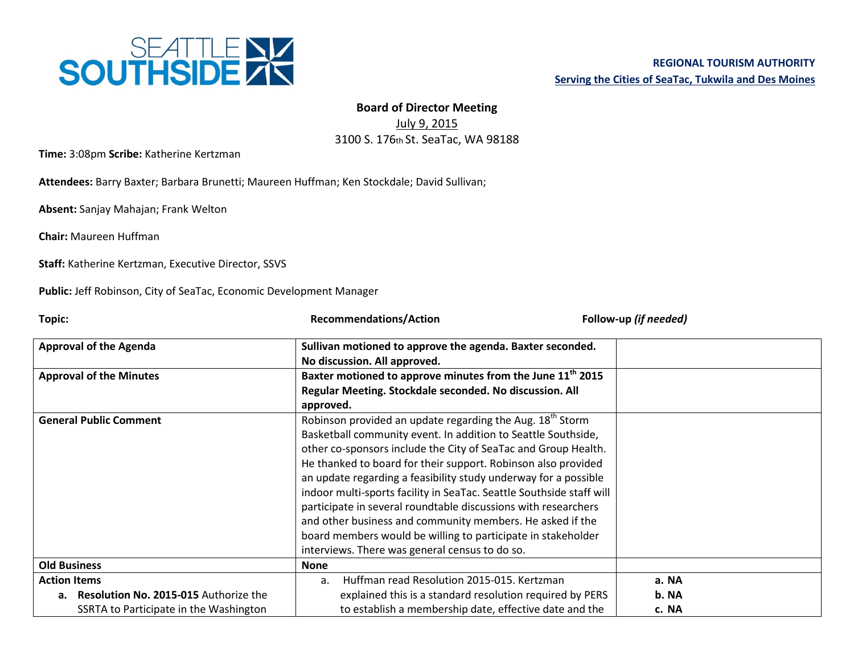

## **Board of Director Meeting**

July 9, 2015 3100 S. 176th St. SeaTac, WA 98188

**Time:** 3:08pm **Scribe:** Katherine Kertzman

**Attendees:** Barry Baxter; Barbara Brunetti; Maureen Huffman; Ken Stockdale; David Sullivan;

**Absent:** Sanjay Mahajan; Frank Welton

**Chair:** Maureen Huffman

**Staff:** Katherine Kertzman, Executive Director, SSVS

**Public:** Jeff Robinson, City of SeaTac, Economic Development Manager

| Topic:                                                                                                              | <b>Recommendations/Action</b>                                                                                                                                                                                                                                                                                                                                                                                                                                                                                                                                                                                                                                         | Follow-up (if needed)   |
|---------------------------------------------------------------------------------------------------------------------|-----------------------------------------------------------------------------------------------------------------------------------------------------------------------------------------------------------------------------------------------------------------------------------------------------------------------------------------------------------------------------------------------------------------------------------------------------------------------------------------------------------------------------------------------------------------------------------------------------------------------------------------------------------------------|-------------------------|
| <b>Approval of the Agenda</b>                                                                                       | Sullivan motioned to approve the agenda. Baxter seconded.<br>No discussion. All approved.                                                                                                                                                                                                                                                                                                                                                                                                                                                                                                                                                                             |                         |
| <b>Approval of the Minutes</b>                                                                                      | Baxter motioned to approve minutes from the June 11 <sup>th</sup> 2015<br>Regular Meeting. Stockdale seconded. No discussion. All<br>approved.                                                                                                                                                                                                                                                                                                                                                                                                                                                                                                                        |                         |
| <b>General Public Comment</b>                                                                                       | Robinson provided an update regarding the Aug. 18 <sup>th</sup> Storm<br>Basketball community event. In addition to Seattle Southside,<br>other co-sponsors include the City of SeaTac and Group Health.<br>He thanked to board for their support. Robinson also provided<br>an update regarding a feasibility study underway for a possible<br>indoor multi-sports facility in SeaTac. Seattle Southside staff will<br>participate in several roundtable discussions with researchers<br>and other business and community members. He asked if the<br>board members would be willing to participate in stakeholder<br>interviews. There was general census to do so. |                         |
| <b>Old Business</b>                                                                                                 | <b>None</b>                                                                                                                                                                                                                                                                                                                                                                                                                                                                                                                                                                                                                                                           |                         |
| <b>Action Items</b><br><b>Resolution No. 2015-015 Authorize the</b><br>а.<br>SSRTA to Participate in the Washington | Huffman read Resolution 2015-015. Kertzman<br>a.<br>explained this is a standard resolution required by PERS<br>to establish a membership date, effective date and the                                                                                                                                                                                                                                                                                                                                                                                                                                                                                                | a. NA<br>b. NA<br>c. NA |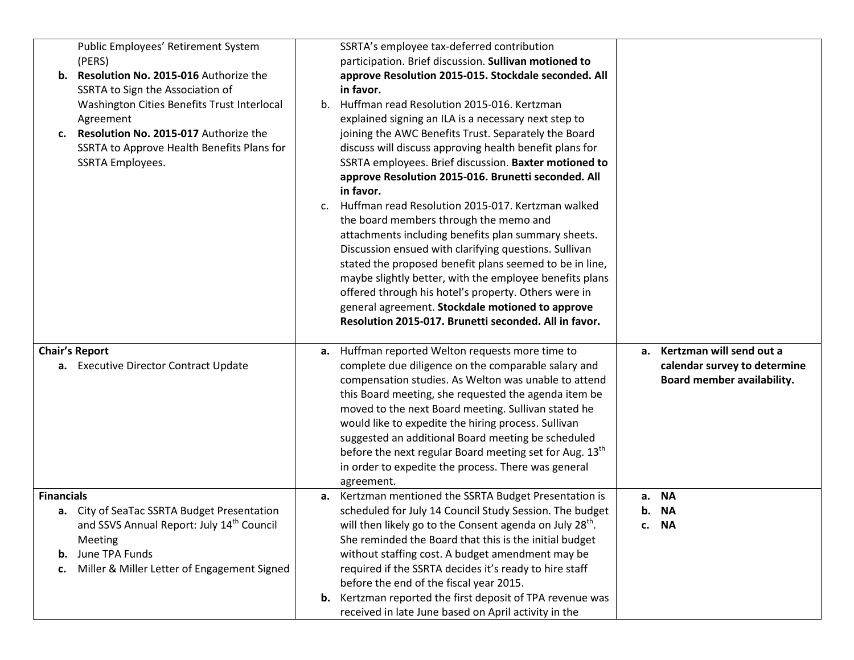| Public Employees' Retirement System<br>(PERS)<br>Resolution No. 2015-016 Authorize the<br>b.<br>SSRTA to Sign the Association of<br>Washington Cities Benefits Trust Interlocal<br>Agreement<br>Resolution No. 2015-017 Authorize the<br>c.<br>SSRTA to Approve Health Benefits Plans for<br><b>SSRTA Employees.</b> | SSRTA's employee tax-deferred contribution<br>participation. Brief discussion. Sullivan motioned to<br>approve Resolution 2015-015. Stockdale seconded. All<br>in favor.<br>b. Huffman read Resolution 2015-016. Kertzman<br>explained signing an ILA is a necessary next step to<br>joining the AWC Benefits Trust. Separately the Board<br>discuss will discuss approving health benefit plans for<br>SSRTA employees. Brief discussion. Baxter motioned to<br>approve Resolution 2015-016. Brunetti seconded. All<br>in favor.<br>Huffman read Resolution 2015-017. Kertzman walked<br>c.<br>the board members through the memo and<br>attachments including benefits plan summary sheets.<br>Discussion ensued with clarifying questions. Sullivan<br>stated the proposed benefit plans seemed to be in line,<br>maybe slightly better, with the employee benefits plans<br>offered through his hotel's property. Others were in<br>general agreement. Stockdale motioned to approve<br>Resolution 2015-017. Brunetti seconded. All in favor. |                                                                                           |
|----------------------------------------------------------------------------------------------------------------------------------------------------------------------------------------------------------------------------------------------------------------------------------------------------------------------|---------------------------------------------------------------------------------------------------------------------------------------------------------------------------------------------------------------------------------------------------------------------------------------------------------------------------------------------------------------------------------------------------------------------------------------------------------------------------------------------------------------------------------------------------------------------------------------------------------------------------------------------------------------------------------------------------------------------------------------------------------------------------------------------------------------------------------------------------------------------------------------------------------------------------------------------------------------------------------------------------------------------------------------------------|-------------------------------------------------------------------------------------------|
| <b>Chair's Report</b><br>a. Executive Director Contract Update                                                                                                                                                                                                                                                       | Huffman reported Welton requests more time to<br>а.<br>complete due diligence on the comparable salary and<br>compensation studies. As Welton was unable to attend<br>this Board meeting, she requested the agenda item be<br>moved to the next Board meeting. Sullivan stated he<br>would like to expedite the hiring process. Sullivan<br>suggested an additional Board meeting be scheduled<br>before the next regular Board meeting set for Aug. 13th<br>in order to expedite the process. There was general<br>agreement.                                                                                                                                                                                                                                                                                                                                                                                                                                                                                                                    | a. Kertzman will send out a<br>calendar survey to determine<br>Board member availability. |
| <b>Financials</b><br>a. City of SeaTac SSRTA Budget Presentation<br>and SSVS Annual Report: July 14 <sup>th</sup> Council<br>Meeting<br>June TPA Funds<br>b.<br>Miller & Miller Letter of Engagement Signed<br>c.                                                                                                    | a. Kertzman mentioned the SSRTA Budget Presentation is<br>scheduled for July 14 Council Study Session. The budget<br>will then likely go to the Consent agenda on July 28 <sup>th</sup> .<br>She reminded the Board that this is the initial budget<br>without staffing cost. A budget amendment may be<br>required if the SSRTA decides it's ready to hire staff<br>before the end of the fiscal year 2015.<br><b>b.</b> Kertzman reported the first deposit of TPA revenue was<br>received in late June based on April activity in the                                                                                                                                                                                                                                                                                                                                                                                                                                                                                                          | a. NA<br>b. NA<br>c. NA                                                                   |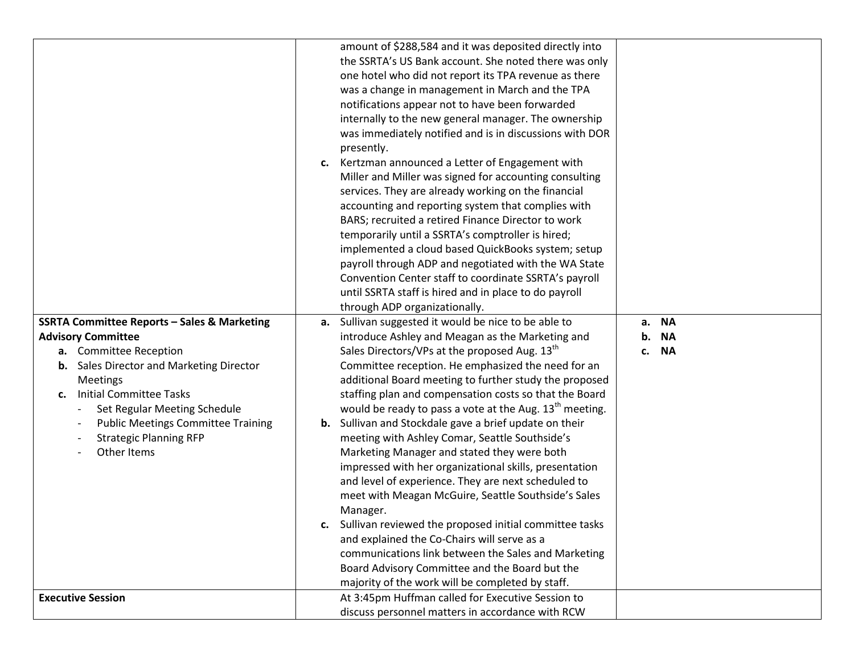|                                                          | amount of \$288,584 and it was deposited directly into        |                          |
|----------------------------------------------------------|---------------------------------------------------------------|--------------------------|
|                                                          | the SSRTA's US Bank account. She noted there was only         |                          |
|                                                          | one hotel who did not report its TPA revenue as there         |                          |
|                                                          | was a change in management in March and the TPA               |                          |
|                                                          | notifications appear not to have been forwarded               |                          |
|                                                          | internally to the new general manager. The ownership          |                          |
|                                                          | was immediately notified and is in discussions with DOR       |                          |
|                                                          | presently.                                                    |                          |
|                                                          | c. Kertzman announced a Letter of Engagement with             |                          |
|                                                          | Miller and Miller was signed for accounting consulting        |                          |
|                                                          | services. They are already working on the financial           |                          |
|                                                          | accounting and reporting system that complies with            |                          |
|                                                          | BARS; recruited a retired Finance Director to work            |                          |
|                                                          | temporarily until a SSRTA's comptroller is hired;             |                          |
|                                                          | implemented a cloud based QuickBooks system; setup            |                          |
|                                                          | payroll through ADP and negotiated with the WA State          |                          |
|                                                          | Convention Center staff to coordinate SSRTA's payroll         |                          |
|                                                          | until SSRTA staff is hired and in place to do payroll         |                          |
|                                                          | through ADP organizationally.                                 |                          |
| <b>SSRTA Committee Reports - Sales &amp; Marketing</b>   | a. Sullivan suggested it would be nice to be able to          | <b>NA</b><br>а.          |
| <b>Advisory Committee</b>                                | introduce Ashley and Meagan as the Marketing and              | <b>NA</b><br>b.          |
| a. Committee Reception                                   | Sales Directors/VPs at the proposed Aug. 13 <sup>th</sup>     | <b>NA</b><br>$c_{\cdot}$ |
| <b>b.</b> Sales Director and Marketing Director          | Committee reception. He emphasized the need for an            |                          |
| <b>Meetings</b>                                          | additional Board meeting to further study the proposed        |                          |
| <b>Initial Committee Tasks</b><br>c.                     | staffing plan and compensation costs so that the Board        |                          |
| Set Regular Meeting Schedule<br>$\overline{\phantom{a}}$ | would be ready to pass a vote at the Aug. $13th$ meeting.     |                          |
| <b>Public Meetings Committee Training</b>                | <b>b.</b> Sullivan and Stockdale gave a brief update on their |                          |
| <b>Strategic Planning RFP</b>                            | meeting with Ashley Comar, Seattle Southside's                |                          |
| Other Items                                              | Marketing Manager and stated they were both                   |                          |
|                                                          | impressed with her organizational skills, presentation        |                          |
|                                                          | and level of experience. They are next scheduled to           |                          |
|                                                          | meet with Meagan McGuire, Seattle Southside's Sales           |                          |
|                                                          | Manager.                                                      |                          |
|                                                          | c. Sullivan reviewed the proposed initial committee tasks     |                          |
|                                                          | and explained the Co-Chairs will serve as a                   |                          |
|                                                          | communications link between the Sales and Marketing           |                          |
|                                                          | Board Advisory Committee and the Board but the                |                          |
|                                                          | majority of the work will be completed by staff.              |                          |
| <b>Executive Session</b>                                 | At 3:45pm Huffman called for Executive Session to             |                          |
|                                                          | discuss personnel matters in accordance with RCW              |                          |
|                                                          |                                                               |                          |